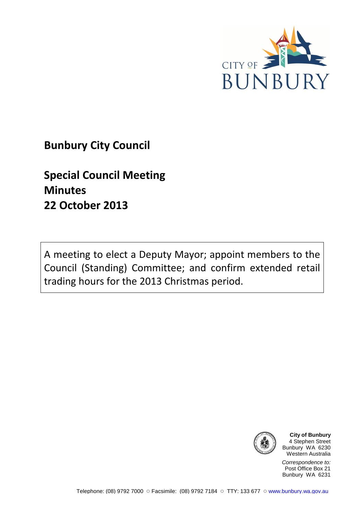

## **Bunbury City Council**

# **Special Council Meeting Minutes 22 October 2013**

A meeting to elect a Deputy Mayor; appoint members to the Council (Standing) Committee; and confirm extended retail trading hours for the 2013 Christmas period.



**City of Bunbury** 4 Stephen Street Bunbury WA 6230 Western Australia

Correspondence to: Post Office Box 21 Bunbury WA 6231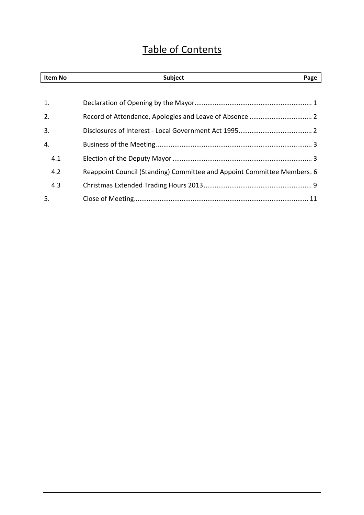## Table of Contents

| Item No | <b>Subject</b>                                                          | Page |
|---------|-------------------------------------------------------------------------|------|
|         |                                                                         |      |
| 1.      |                                                                         |      |
| 2.      |                                                                         |      |
| 3.      |                                                                         |      |
| 4.      |                                                                         |      |
| 4.1     |                                                                         |      |
| 4.2     | Reappoint Council (Standing) Committee and Appoint Committee Members. 6 |      |
| 4.3     |                                                                         |      |
| 5.      |                                                                         |      |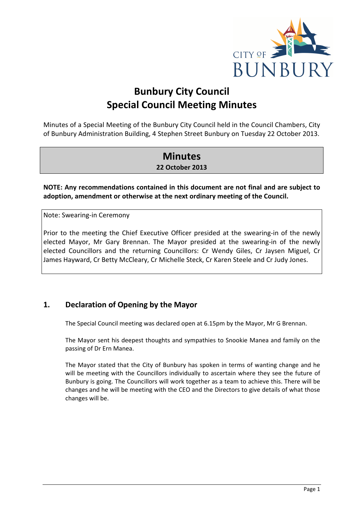

## **Bunbury City Council Special Council Meeting Minutes**

Minutes of a Special Meeting of the Bunbury City Council held in the Council Chambers, City of Bunbury Administration Building, 4 Stephen Street Bunbury on Tuesday 22 October 2013.

## **Minutes**

**22 October 2013**

**NOTE: Any recommendations contained in this document are not final and are subject to adoption, amendment or otherwise at the next ordinary meeting of the Council.** 

Note: Swearing-in Ceremony

Prior to the meeting the Chief Executive Officer presided at the swearing-in of the newly elected Mayor, Mr Gary Brennan. The Mayor presided at the swearing-in of the newly elected Councillors and the returning Councillors: Cr Wendy Giles, Cr Jaysen Miguel, Cr James Hayward, Cr Betty McCleary, Cr Michelle Steck, Cr Karen Steele and Cr Judy Jones.

## **1. Declaration of Opening by the Mayor**

The Special Council meeting was declared open at 6.15pm by the Mayor, Mr G Brennan.

The Mayor sent his deepest thoughts and sympathies to Snookie Manea and family on the passing of Dr Ern Manea.

The Mayor stated that the City of Bunbury has spoken in terms of wanting change and he will be meeting with the Councillors individually to ascertain where they see the future of Bunbury is going. The Councillors will work together as a team to achieve this. There will be changes and he will be meeting with the CEO and the Directors to give details of what those changes will be.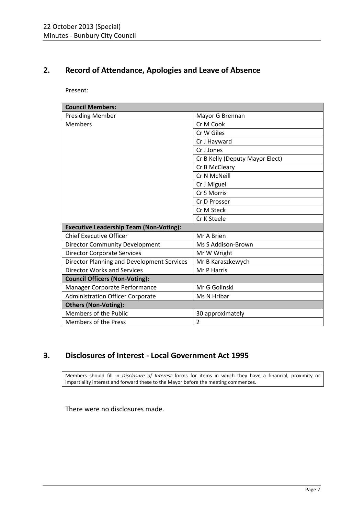## **2. Record of Attendance, Apologies and Leave of Absence**

Present:

| <b>Council Members:</b>                        |                                 |  |  |  |
|------------------------------------------------|---------------------------------|--|--|--|
| <b>Presiding Member</b>                        | Mayor G Brennan                 |  |  |  |
| <b>Members</b>                                 | Cr M Cook                       |  |  |  |
|                                                | Cr W Giles                      |  |  |  |
|                                                | Cr J Hayward                    |  |  |  |
|                                                | Cr J Jones                      |  |  |  |
|                                                | Cr B Kelly (Deputy Mayor Elect) |  |  |  |
|                                                | Cr B McCleary                   |  |  |  |
|                                                | Cr N McNeill                    |  |  |  |
|                                                | Cr J Miguel                     |  |  |  |
|                                                | Cr S Morris                     |  |  |  |
|                                                | Cr D Prosser                    |  |  |  |
|                                                | Cr M Steck                      |  |  |  |
|                                                | Cr K Steele                     |  |  |  |
| <b>Executive Leadership Team (Non-Voting):</b> |                                 |  |  |  |
| <b>Chief Executive Officer</b>                 | Mr A Brien                      |  |  |  |
| <b>Director Community Development</b>          | Ms S Addison-Brown              |  |  |  |
| <b>Director Corporate Services</b>             | Mr W Wright                     |  |  |  |
| Director Planning and Development Services     | Mr B Karaszkewych               |  |  |  |
| <b>Director Works and Services</b>             | Mr P Harris                     |  |  |  |
| <b>Council Officers (Non-Voting):</b>          |                                 |  |  |  |
| Manager Corporate Performance                  | Mr G Golinski                   |  |  |  |
| <b>Administration Officer Corporate</b>        | Ms N Hribar                     |  |  |  |
| <b>Others (Non-Voting):</b>                    |                                 |  |  |  |
| Members of the Public                          | 30 approximately                |  |  |  |
| <b>Members of the Press</b>                    | $\overline{2}$                  |  |  |  |

## **3. Disclosures of Interest - Local Government Act 1995**

Members should fill in *Disclosure of Interest* forms for items in which they have a financial, proximity or impartiality interest and forward these to the Mayor before the meeting commences.

There were no disclosures made.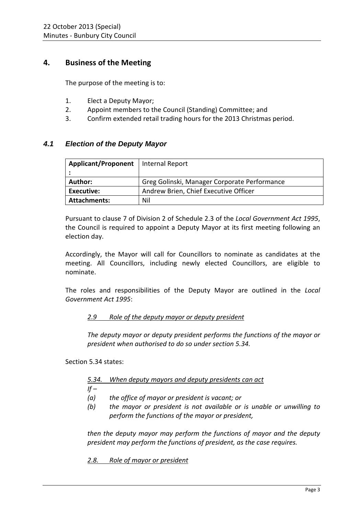## **4. Business of the Meeting**

The purpose of the meeting is to:

- 1. Elect a Deputy Mayor;
- 2. Appoint members to the Council (Standing) Committee; and
- 3. Confirm extended retail trading hours for the 2013 Christmas period.

### **4.1 Election of the Deputy Mayor**

| Applicant/Proponent   Internal Report |                                              |
|---------------------------------------|----------------------------------------------|
|                                       |                                              |
| <b>Author:</b>                        | Greg Golinski, Manager Corporate Performance |
| Executive:                            | Andrew Brien, Chief Executive Officer        |
| <b>Attachments:</b>                   | Nil                                          |

Pursuant to clause 7 of Division 2 of Schedule 2.3 of the *Local Government Act 1995*, the Council is required to appoint a Deputy Mayor at its first meeting following an election day.

Accordingly, the Mayor will call for Councillors to nominate as candidates at the meeting. All Councillors, including newly elected Councillors, are eligible to nominate.

The roles and responsibilities of the Deputy Mayor are outlined in the *Local Government Act 1995*:

#### *2.9 Role of the deputy mayor or deputy president*

*The deputy mayor or deputy president performs the functions of the mayor or president when authorised to do so under section 5.34.* 

Section 5.34 states:

#### *5.34. When deputy mayors and deputy presidents can act*

 $If -$ 

- *(a) the office of mayor or president is vacant; or*
- *(b) the mayor or president is not available or is unable or unwilling to perform the functions of the mayor or president,*

*then the deputy mayor may perform the functions of mayor and the deputy president may perform the functions of president, as the case requires.* 

*2.8. Role of mayor or president*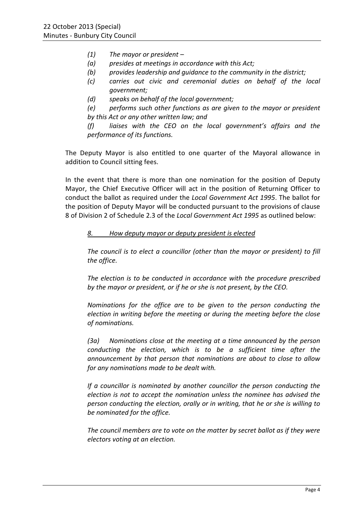- *(1) The mayor or president*
- *(a) presides at meetings in accordance with this Act;*
- *(b) provides leadership and guidance to the community in the district;*
- *(c) carries out civic and ceremonial duties on behalf of the local government;*
- *(d) speaks on behalf of the local government;*

*(e) performs such other functions as are given to the mayor or president by this Act or any other written law; and* 

*(f) liaises with the CEO on the local government's affairs and the performance of its functions.* 

The Deputy Mayor is also entitled to one quarter of the Mayoral allowance in addition to Council sitting fees.

In the event that there is more than one nomination for the position of Deputy Mayor, the Chief Executive Officer will act in the position of Returning Officer to conduct the ballot as required under the *Local Government Act 1995*. The ballot for the position of Deputy Mayor will be conducted pursuant to the provisions of clause 8 of Division 2 of Schedule 2.3 of the *Local Government Act 1995* as outlined below:

#### *8. How deputy mayor or deputy president is elected*

*The council is to elect a councillor (other than the mayor or president) to fill the office.* 

*The election is to be conducted in accordance with the procedure prescribed by the mayor or president, or if he or she is not present, by the CEO.* 

*Nominations for the office are to be given to the person conducting the election in writing before the meeting or during the meeting before the close of nominations.* 

*(3a) Nominations close at the meeting at a time announced by the person conducting the election, which is to be a sufficient time after the announcement by that person that nominations are about to close to allow for any nominations made to be dealt with.* 

*If a councillor is nominated by another councillor the person conducting the election is not to accept the nomination unless the nominee has advised the person conducting the election, orally or in writing, that he or she is willing to be nominated for the office.* 

*The council members are to vote on the matter by secret ballot as if they were electors voting at an election.*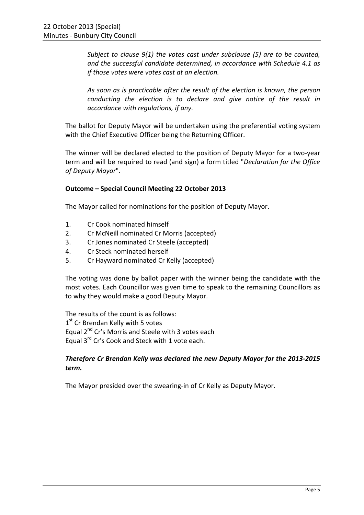*Subject to clause 9(1) the votes cast under subclause (5) are to be counted, and the successful candidate determined, in accordance with Schedule 4.1 as if those votes were votes cast at an election.* 

*As soon as is practicable after the result of the election is known, the person conducting the election is to declare and give notice of the result in accordance with regulations, if any.* 

The ballot for Deputy Mayor will be undertaken using the preferential voting system with the Chief Executive Officer being the Returning Officer.

The winner will be declared elected to the position of Deputy Mayor for a two-year term and will be required to read (and sign) a form titled "*Declaration for the Office of Deputy Mayor*".

#### **Outcome – Special Council Meeting 22 October 2013**

The Mayor called for nominations for the position of Deputy Mayor.

- 1. Cr Cook nominated himself
- 2. Cr McNeill nominated Cr Morris (accepted)
- 3. Cr Jones nominated Cr Steele (accepted)
- 4. Cr Steck nominated herself
- 5. Cr Hayward nominated Cr Kelly (accepted)

The voting was done by ballot paper with the winner being the candidate with the most votes. Each Councillor was given time to speak to the remaining Councillors as to why they would make a good Deputy Mayor.

The results of the count is as follows: 1<sup>st</sup> Cr Brendan Kelly with 5 votes Equal 2<sup>nd</sup> Cr's Morris and Steele with 3 votes each Equal 3<sup>rd</sup> Cr's Cook and Steck with 1 vote each.

#### *Therefore Cr Brendan Kelly was declared the new Deputy Mayor for the 2013-2015 term.*

The Mayor presided over the swearing-in of Cr Kelly as Deputy Mayor.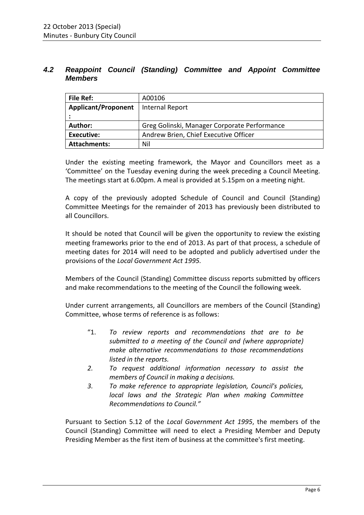### **4.2 Reappoint Council (Standing) Committee and Appoint Committee Members**

| File Ref:                  | A00106                                       |  |
|----------------------------|----------------------------------------------|--|
| <b>Applicant/Proponent</b> | <b>Internal Report</b>                       |  |
|                            |                                              |  |
| Author:                    | Greg Golinski, Manager Corporate Performance |  |
| <b>Executive:</b>          | Andrew Brien, Chief Executive Officer        |  |
| <b>Attachments:</b>        | Nil                                          |  |

Under the existing meeting framework, the Mayor and Councillors meet as a 'Committee' on the Tuesday evening during the week preceding a Council Meeting. The meetings start at 6.00pm. A meal is provided at 5.15pm on a meeting night.

A copy of the previously adopted Schedule of Council and Council (Standing) Committee Meetings for the remainder of 2013 has previously been distributed to all Councillors.

It should be noted that Council will be given the opportunity to review the existing meeting frameworks prior to the end of 2013. As part of that process, a schedule of meeting dates for 2014 will need to be adopted and publicly advertised under the provisions of the *Local Government Act 1995.* 

Members of the Council (Standing) Committee discuss reports submitted by officers and make recommendations to the meeting of the Council the following week.

Under current arrangements, all Councillors are members of the Council (Standing) Committee, whose terms of reference is as follows:

- "1. *To review reports and recommendations that are to be submitted to a meeting of the Council and (where appropriate) make alternative recommendations to those recommendations listed in the reports.*
- *2. To request additional information necessary to assist the members of Council in making a decisions.*
- *3. To make reference to appropriate legislation, Council's policies, local laws and the Strategic Plan when making Committee Recommendations to Council."*

Pursuant to Section 5.12 of the *Local Government Act 1995*, the members of the Council (Standing) Committee will need to elect a Presiding Member and Deputy Presiding Member as the first item of business at the committee's first meeting.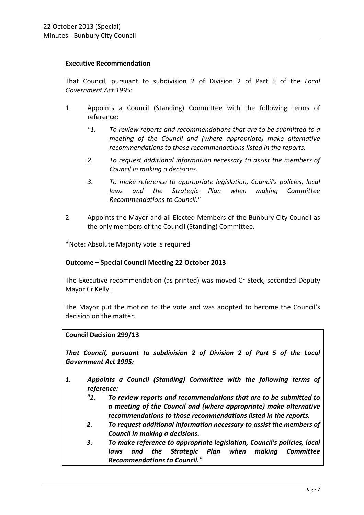#### **Executive Recommendation**

That Council, pursuant to subdivision 2 of Division 2 of Part 5 of the *Local Government Act 1995*:

- 1. Appoints a Council (Standing) Committee with the following terms of reference:
	- *"1. To review reports and recommendations that are to be submitted to a meeting of the Council and (where appropriate) make alternative recommendations to those recommendations listed in the reports.*
	- *2. To request additional information necessary to assist the members of Council in making a decisions.*
	- *3. To make reference to appropriate legislation, Council's policies, local laws and the Strategic Plan when making Committee Recommendations to Council."*
- 2. Appoints the Mayor and all Elected Members of the Bunbury City Council as the only members of the Council (Standing) Committee.

\*Note: Absolute Majority vote is required

#### **Outcome – Special Council Meeting 22 October 2013**

The Executive recommendation (as printed) was moved Cr Steck, seconded Deputy Mayor Cr Kelly.

The Mayor put the motion to the vote and was adopted to become the Council's decision on the matter.

#### **Council Decision 299/13**

*That Council, pursuant to subdivision 2 of Division 2 of Part 5 of the Local Government Act 1995:* 

- *1. Appoints a Council (Standing) Committee with the following terms of reference:* 
	- *"1. To review reports and recommendations that are to be submitted to a meeting of the Council and (where appropriate) make alternative recommendations to those recommendations listed in the reports.*
	- *2. To request additional information necessary to assist the members of Council in making a decisions.*
	- *3. To make reference to appropriate legislation, Council's policies, local laws and the Strategic Plan when making Committee Recommendations to Council."*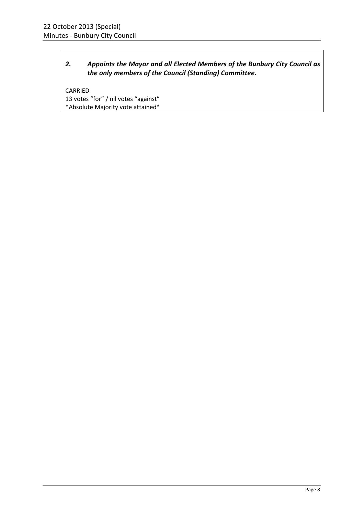### *2. Appoints the Mayor and all Elected Members of the Bunbury City Council as the only members of the Council (Standing) Committee.*

CARRIED 13 votes "for" / nil votes "against" \*Absolute Majority vote attained\*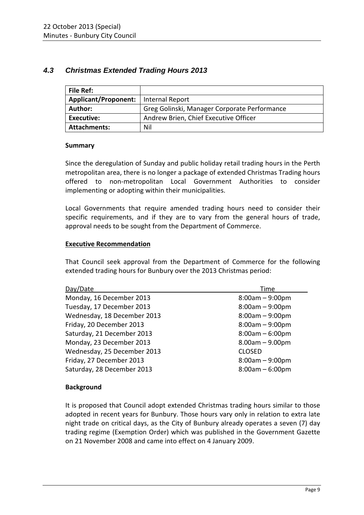## **4.3 Christmas Extended Trading Hours 2013**

| File Ref:                              |                                              |
|----------------------------------------|----------------------------------------------|
| Applicant/Proponent:   Internal Report |                                              |
| <b>Author:</b>                         | Greg Golinski, Manager Corporate Performance |
| <b>Executive:</b>                      | Andrew Brien, Chief Executive Officer        |
| <b>Attachments:</b>                    | Nil                                          |

#### **Summary**

Since the deregulation of Sunday and public holiday retail trading hours in the Perth metropolitan area, there is no longer a package of extended Christmas Trading hours offered to non-metropolitan Local Government Authorities to consider implementing or adopting within their municipalities.

Local Governments that require amended trading hours need to consider their specific requirements, and if they are to vary from the general hours of trade, approval needs to be sought from the Department of Commerce.

#### **Executive Recommendation**

That Council seek approval from the Department of Commerce for the following extended trading hours for Bunbury over the 2013 Christmas period:

| Day/Date                    | Time              |
|-----------------------------|-------------------|
| Monday, 16 December 2013    | $8:00am - 9:00pm$ |
| Tuesday, 17 December 2013   | $8:00am - 9:00pm$ |
| Wednesday, 18 December 2013 | $8:00am - 9:00pm$ |
| Friday, 20 December 2013    | $8:00am - 9:00pm$ |
| Saturday, 21 December 2013  | $8:00am - 6:00pm$ |
| Monday, 23 December 2013    | $8.00am - 9.00pm$ |
| Wednesday, 25 December 2013 | <b>CLOSED</b>     |
| Friday, 27 December 2013    | $8:00am - 9:00pm$ |
| Saturday, 28 December 2013  | $8:00am - 6:00pm$ |

#### **Background**

It is proposed that Council adopt extended Christmas trading hours similar to those adopted in recent years for Bunbury. Those hours vary only in relation to extra late night trade on critical days, as the City of Bunbury already operates a seven (7) day trading regime (Exemption Order) which was published in the Government Gazette on 21 November 2008 and came into effect on 4 January 2009.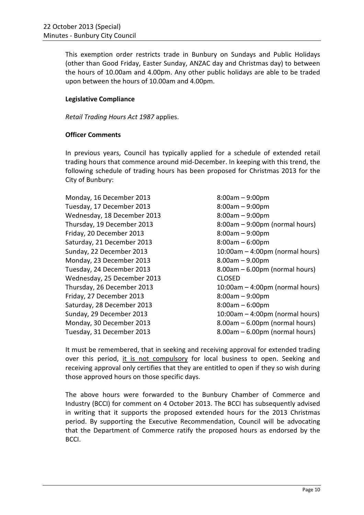This exemption order restricts trade in Bunbury on Sundays and Public Holidays (other than Good Friday, Easter Sunday, ANZAC day and Christmas day) to between the hours of 10.00am and 4.00pm. Any other public holidays are able to be traded upon between the hours of 10.00am and 4.00pm.

#### **Legislative Compliance**

*Retail Trading Hours Act 1987* applies.

#### **Officer Comments**

In previous years, Council has typically applied for a schedule of extended retail trading hours that commence around mid-December. In keeping with this trend, the following schedule of trading hours has been proposed for Christmas 2013 for the City of Bunbury:

Monday, 16 December 2013 8:00am – 9:00pm Tuesday, 17 December 2013 8:00am – 9:00pm Wednesday, 18 December 2013 8:00am – 9:00pm Friday, 20 December 2013 8:00am – 9:00pm Saturday, 21 December 2013 8:00am – 6:00pm Monday, 23 December 2013 8.00am – 9.00pm Wednesday, 25 December 2013 CLOSED Friday, 27 December 2013 8:00am – 9:00pm Saturday, 28 December 2013 8:00am – 6:00pm

Thursday, 19 December 2013 8:00am – 9:00pm (normal hours) Sunday, 22 December 2013 10:00am – 4:00pm (normal hours) Tuesday, 24 December 2013 8.00am – 6.00pm (normal hours) Thursday, 26 December 2013 10:00am – 4:00pm (normal hours) Sunday, 29 December 2013 10:00am – 4:00pm (normal hours) Monday, 30 December 2013 8.00am – 6.00pm (normal hours) Tuesday, 31 December 2013 8.00am – 6.00pm (normal hours)

It must be remembered, that in seeking and receiving approval for extended trading over this period, it is not compulsory for local business to open. Seeking and receiving approval only certifies that they are entitled to open if they so wish during those approved hours on those specific days.

The above hours were forwarded to the Bunbury Chamber of Commerce and Industry (BCCI) for comment on 4 October 2013. The BCCI has subsequently advised in writing that it supports the proposed extended hours for the 2013 Christmas period. By supporting the Executive Recommendation, Council will be advocating that the Department of Commerce ratify the proposed hours as endorsed by the BCCI.